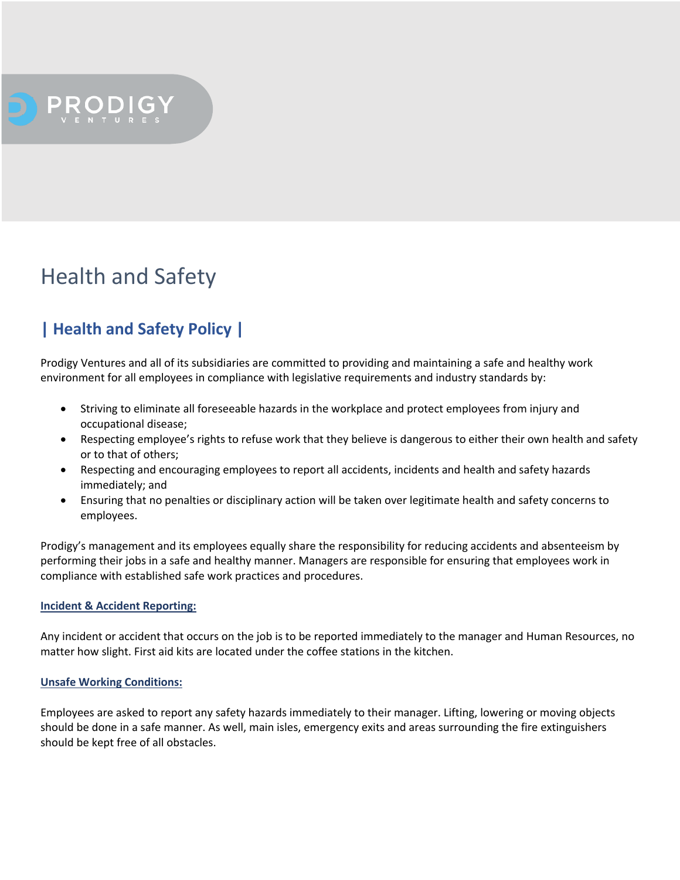## Health and Safety

## **| Health and Safety Policy |**

Prodigy Ventures and all of its subsidiaries are committed to providing and maintaining a safe and healthy work environment for all employees in compliance with legislative requirements and industry standards by:

- Striving to eliminate all foreseeable hazards in the workplace and protect employees from injury and occupational disease;
- Respecting employee's rights to refuse work that they believe is dangerous to either their own health and safety or to that of others;
- Respecting and encouraging employees to report all accidents, incidents and health and safety hazards immediately; and
- Ensuring that no penalties or disciplinary action will be taken over legitimate health and safety concerns to employees.

Prodigy's management and its employees equally share the responsibility for reducing accidents and absenteeism by performing their jobs in a safe and healthy manner. Managers are responsible for ensuring that employees work in compliance with established safe work practices and procedures.

#### **Incident & Accident Reporting:**

Any incident or accident that occurs on the job is to be reported immediately to the manager and Human Resources, no matter how slight. First aid kits are located under the coffee stations in the kitchen.

#### **Unsafe Working Conditions:**

Employees are asked to report any safety hazards immediately to their manager. Lifting, lowering or moving objects should be done in a safe manner. As well, main isles, emergency exits and areas surrounding the fire extinguishers should be kept free of all obstacles.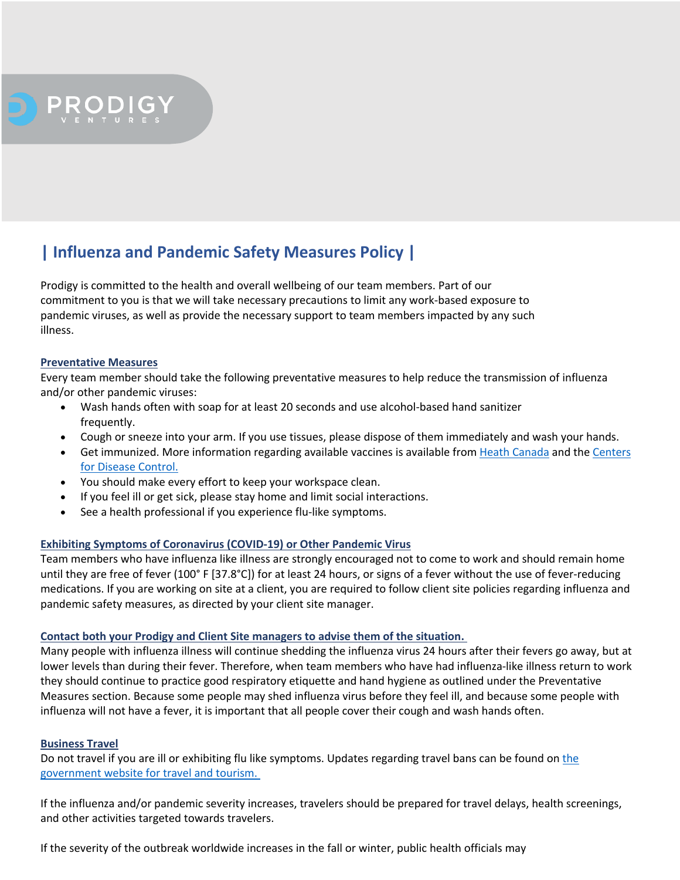# PRODIGY

## **| Influenza and Pandemic Safety Measures Policy |**

Prodigy is committed to the health and overall wellbeing of our team members. Part of our commitment to you is that we will take necessary precautions to limit any work-based exposure to pandemic viruses, as well as provide the necessary support to team members impacted by any such illness.

#### **Preventative Measures**

Every team member should take the following preventative measures to help reduce the transmission of influenza and/or other pandemic viruses:

- Wash hands often with soap for at least 20 seconds and use alcohol-based hand sanitizer frequently.
- Cough or sneeze into your arm. If you use tissues, please dispose of them immediately and wash your hands.
- Get immunized. More information regarding available vaccines is available from Heath Canada and the Centers for Disease Control.
- You should make every effort to keep your workspace clean.
- If you feel ill or get sick, please stay home and limit social interactions.
- See a health professional if you experience flu-like symptoms.

#### **Exhibiting Symptoms of Coronavirus (COVID-19) or Other Pandemic Virus**

Team members who have influenza like illness are strongly encouraged not to come to work and should remain home until they are free of fever (100° F [37.8°C]) for at least 24 hours, or signs of a fever without the use of fever-reducing medications. If you are working on site at a client, you are required to follow client site policies regarding influenza and pandemic safety measures, as directed by your client site manager.

#### **Contact both your Prodigy and Client Site managers to advise them of the situation.**

Many people with influenza illness will continue shedding the influenza virus 24 hours after their fevers go away, but at lower levels than during their fever. Therefore, when team members who have had influenza-like illness return to work they should continue to practice good respiratory etiquette and hand hygiene as outlined under the Preventative Measures section. Because some people may shed influenza virus before they feel ill, and because some people with influenza will not have a fever, it is important that all people cover their cough and wash hands often.

#### **Business Travel**

Do not travel if you are ill or exhibiting flu like symptoms. Updates regarding travel bans can be found on the government website for travel and tourism.

If the influenza and/or pandemic severity increases, travelers should be prepared for travel delays, health screenings, and other activities targeted towards travelers.

If the severity of the outbreak worldwide increases in the fall or winter, public health officials may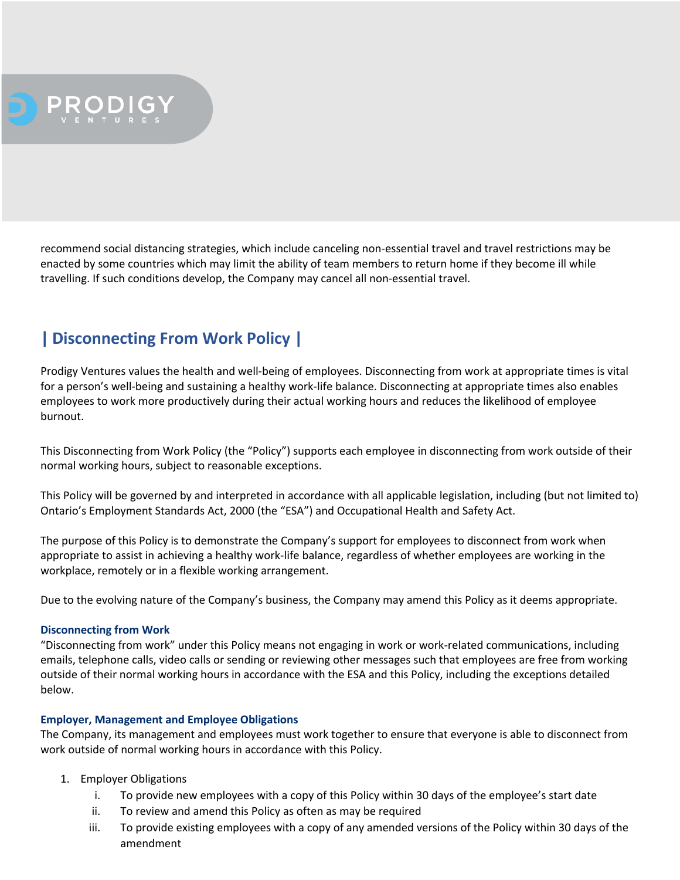

recommend social distancing strategies, which include canceling non-essential travel and travel restrictions may be enacted by some countries which may limit the ability of team members to return home if they become ill while travelling. If such conditions develop, the Company may cancel all non-essential travel.

## **| Disconnecting From Work Policy |**

Prodigy Ventures values the health and well-being of employees. Disconnecting from work at appropriate times is vital for a person's well-being and sustaining a healthy work-life balance. Disconnecting at appropriate times also enables employees to work more productively during their actual working hours and reduces the likelihood of employee burnout.

This Disconnecting from Work Policy (the "Policy") supports each employee in disconnecting from work outside of their normal working hours, subject to reasonable exceptions.

This Policy will be governed by and interpreted in accordance with all applicable legislation, including (but not limited to) Ontario's Employment Standards Act, 2000 (the "ESA") and Occupational Health and Safety Act.

The purpose of this Policy is to demonstrate the Company's support for employees to disconnect from work when appropriate to assist in achieving a healthy work-life balance, regardless of whether employees are working in the workplace, remotely or in a flexible working arrangement.

Due to the evolving nature of the Company's business, the Company may amend this Policy as it deems appropriate.

#### **Disconnecting from Work**

"Disconnecting from work" under this Policy means not engaging in work or work-related communications, including emails, telephone calls, video calls or sending or reviewing other messages such that employees are free from working outside of their normal working hours in accordance with the ESA and this Policy, including the exceptions detailed below.

#### **Employer, Management and Employee Obligations**

The Company, its management and employees must work together to ensure that everyone is able to disconnect from work outside of normal working hours in accordance with this Policy.

#### 1. Employer Obligations

- i. To provide new employees with a copy of this Policy within 30 days of the employee's start date
- ii. To review and amend this Policy as often as may be required
- iii. To provide existing employees with a copy of any amended versions of the Policy within 30 days of the amendment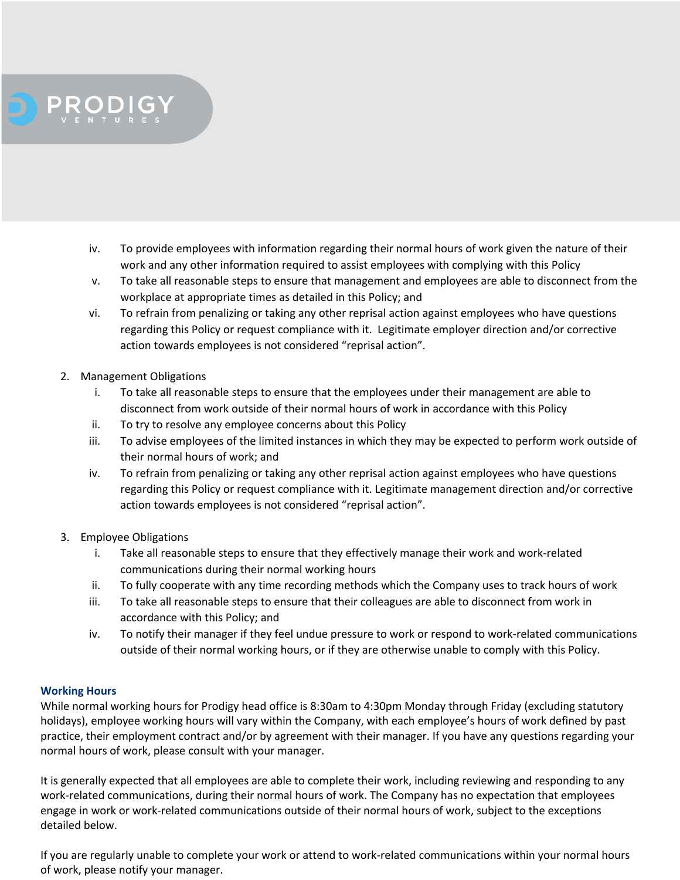- iv. To provide employees with information regarding their normal hours of work given the nature of their work and any other information required to assist employees with complying with this Policy
	- v. To take all reasonable steps to ensure that management and employees are able to disconnect from the workplace at appropriate times as detailed in this Policy; and
- vi. To refrain from penalizing or taking any other reprisal action against employees who have questions regarding this Policy or request compliance with it. Legitimate employer direction and/or corrective action towards employees is not considered "reprisal action".
- 2. Management Obligations

PRODIGY

- i. To take all reasonable steps to ensure that the employees under their management are able to disconnect from work outside of their normal hours of work in accordance with this Policy
- ii. To try to resolve any employee concerns about this Policy
- iii. To advise employees of the limited instances in which they may be expected to perform work outside of their normal hours of work; and
- iv. To refrain from penalizing or taking any other reprisal action against employees who have questions regarding this Policy or request compliance with it. Legitimate management direction and/or corrective action towards employees is not considered "reprisal action".
- 3. Employee Obligations
	- i. Take all reasonable steps to ensure that they effectively manage their work and work-related communications during their normal working hours
	- ii. To fully cooperate with any time recording methods which the Company uses to track hours of work
	- iii. To take all reasonable steps to ensure that their colleagues are able to disconnect from work in accordance with this Policy; and
	- iv. To notify their manager if they feel undue pressure to work or respond to work-related communications outside of their normal working hours, or if they are otherwise unable to comply with this Policy.

### **Working Hours**

While normal working hours for Prodigy head office is 8:30am to 4:30pm Monday through Friday (excluding statutory holidays), employee working hours will vary within the Company, with each employee's hours of work defined by past practice, their employment contract and/or by agreement with their manager. If you have any questions regarding your normal hours of work, please consult with your manager.

It is generally expected that all employees are able to complete their work, including reviewing and responding to any work-related communications, during their normal hours of work. The Company has no expectation that employees engage in work or work-related communications outside of their normal hours of work, subject to the exceptions detailed below.

If you are regularly unable to complete your work or attend to work-related communications within your normal hours of work, please notify your manager.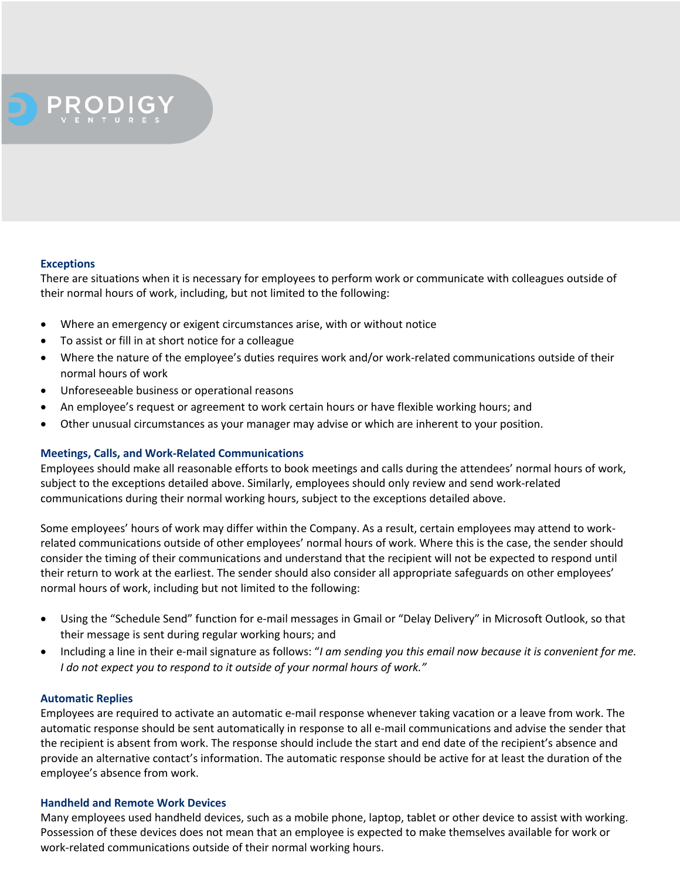# PRODIGY

#### **Exceptions**

There are situations when it is necessary for employees to perform work or communicate with colleagues outside of their normal hours of work, including, but not limited to the following:

- Where an emergency or exigent circumstances arise, with or without notice
- To assist or fill in at short notice for a colleague
- Where the nature of the employee's duties requires work and/or work-related communications outside of their normal hours of work
- Unforeseeable business or operational reasons
- An employee's request or agreement to work certain hours or have flexible working hours; and
- Other unusual circumstances as your manager may advise or which are inherent to your position.

#### **Meetings, Calls, and Work-Related Communications**

Employees should make all reasonable efforts to book meetings and calls during the attendees' normal hours of work, subject to the exceptions detailed above. Similarly, employees should only review and send work-related communications during their normal working hours, subject to the exceptions detailed above.

Some employees' hours of work may differ within the Company. As a result, certain employees may attend to workrelated communications outside of other employees' normal hours of work. Where this is the case, the sender should consider the timing of their communications and understand that the recipient will not be expected to respond until their return to work at the earliest. The sender should also consider all appropriate safeguards on other employees' normal hours of work, including but not limited to the following:

- Using the "Schedule Send" function for e-mail messages in Gmail or "Delay Delivery" in Microsoft Outlook, so that their message is sent during regular working hours; and
- Including a line in their e-mail signature as follows: "*I am sending you this email now because it is convenient for me. I do not expect you to respond to it outside of your normal hours of work."*

#### **Automatic Replies**

Employees are required to activate an automatic e-mail response whenever taking vacation or a leave from work. The automatic response should be sent automatically in response to all e-mail communications and advise the sender that the recipient is absent from work. The response should include the start and end date of the recipient's absence and provide an alternative contact's information. The automatic response should be active for at least the duration of the employee's absence from work.

#### **Handheld and Remote Work Devices**

Many employees used handheld devices, such as a mobile phone, laptop, tablet or other device to assist with working. Possession of these devices does not mean that an employee is expected to make themselves available for work or work-related communications outside of their normal working hours.